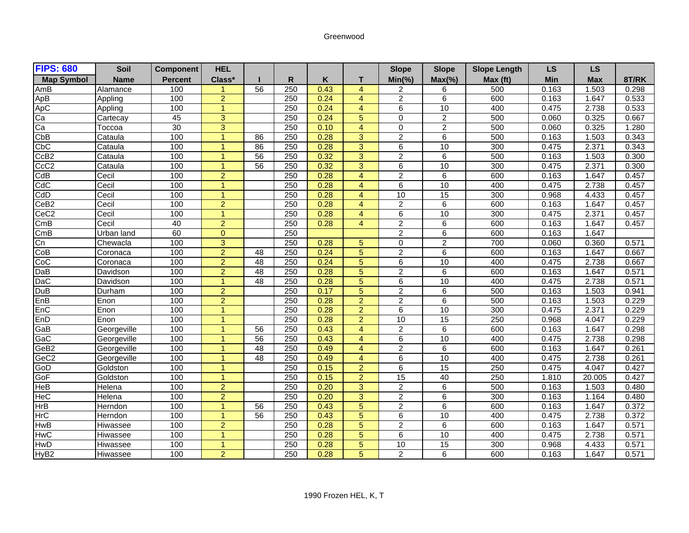## Greenwood

| <b>FIPS: 680</b>  | <b>Soil</b> | <b>Component</b> | <b>HEL</b>           |                 |                  |      |                | <b>Slope</b>    | <b>Slope</b>    | <b>Slope Length</b> | <b>LS</b>  | <b>LS</b>  |       |
|-------------------|-------------|------------------|----------------------|-----------------|------------------|------|----------------|-----------------|-----------------|---------------------|------------|------------|-------|
| <b>Map Symbol</b> | <b>Name</b> | <b>Percent</b>   | Class*               |                 | R                | Κ    | т              | $Min(\% )$      | $Max(\% )$      | Max (ft)            | <b>Min</b> | <b>Max</b> | 8T/RK |
| AmB               | Alamance    | 100              |                      | 56              | 250              | 0.43 | $\overline{4}$ | 2               | 6               | 500                 | 0.163      | 1.503      | 0.298 |
| ApB               | Appling     | 100              | $\overline{2}$       |                 | 250              | 0.24 | $\overline{4}$ | $\overline{2}$  | 6               | 600                 | 0.163      | 1.647      | 0.533 |
| ApC               | Appling     | 100              | $\overline{1}$       |                 | 250              | 0.24 | $\overline{4}$ | 6               | 10              | 400                 | 0.475      | 2.738      | 0.533 |
| Ca                | Cartecay    | 45               | $\overline{3}$       |                 | 250              | 0.24 | 5              | $\overline{0}$  | $\overline{2}$  | 500                 | 0.060      | 0.325      | 0.667 |
| Ca                | Тоссоа      | 30               | 3                    |                 | 250              | 0.10 | $\overline{4}$ | $\mathbf 0$     | $\overline{2}$  | 500                 | 0.060      | 0.325      | 1.280 |
| CbB               | Cataula     | 100              | 1                    | 86              | 250              | 0.28 | 3              | $\overline{2}$  | 6               | 500                 | 0.163      | 1.503      | 0.343 |
| CbC               | Cataula     | 100              | и                    | 86              | 250              | 0.28 | 3              | 6               | $\overline{10}$ | 300                 | 0.475      | 2.371      | 0.343 |
| CcB <sub>2</sub>  | Cataula     | 100              | $\blacktriangleleft$ | 56              | 250              | 0.32 | 3              | $\overline{2}$  | 6               | 500                 | 0.163      | 1.503      | 0.300 |
| CcC <sub>2</sub>  | Cataula     | 100              | 1                    | 56              | 250              | 0.32 | 3              | 6               | 10              | 300                 | 0.475      | 2.371      | 0.300 |
| CdB               | Cecil       | 100              | $\overline{2}$       |                 | 250              | 0.28 | $\overline{4}$ | 2               | 6               | 600                 | 0.163      | 1.647      | 0.457 |
| CdC               | Cecil       | 100              | $\overline{ }$       |                 | 250              | 0.28 | $\overline{4}$ | $\overline{6}$  | 10              | 400                 | 0.475      | 2.738      | 0.457 |
| CdD               | Cecil       | 100              | 1                    |                 | 250              | 0.28 | $\overline{4}$ | 10              | 15              | 300                 | 0.968      | 4.433      | 0.457 |
| CeB <sub>2</sub>  | Cecil       | 100              | $\overline{2}$       |                 | 250              | 0.28 | 4              | $\overline{2}$  | 6               | 600                 | 0.163      | 1.647      | 0.457 |
| CeC <sub>2</sub>  | Cecil       | 100              | $\overline{1}$       |                 | 250              | 0.28 | $\overline{4}$ | 6               | 10              | 300                 | 0.475      | 2.371      | 0.457 |
| CmB               | Cecil       | 40               | $\overline{2}$       |                 | 250              | 0.28 | $\overline{4}$ | $\overline{2}$  | 6               | 600                 | 0.163      | 1.647      | 0.457 |
| CmB               | Urban land  | 60               | $\Omega$             |                 | 250              |      |                | $\overline{2}$  | 6               | 600                 | 0.163      | 1.647      |       |
| Cn                | Chewacla    | 100              | $\overline{3}$       |                 | 250              | 0.28 | 5              | 0               | $\overline{2}$  | 700                 | 0.060      | 0.360      | 0.571 |
| CoB               | Coronaca    | 100              | $\overline{2}$       | 48              | 250              | 0.24 | 5              | $\overline{2}$  | 6               | 600                 | 0.163      | 1.647      | 0.667 |
| <u>coc</u>        | Coronaca    | 100              | $\overline{2}$       | $\overline{48}$ | $\overline{250}$ | 0.24 | 5              | $\overline{6}$  | 10              | 400                 | 0.475      | 2.738      | 0.667 |
| DaB               | Davidson    | 100              | $\overline{2}$       | 48              | 250              | 0.28 | 5              | $\overline{2}$  | 6               | 600                 | 0.163      | 1.647      | 0.571 |
| <b>DaC</b>        | Davidson    | 100              | -1                   | 48              | 250              | 0.28 | $\overline{5}$ | 6               | 10              | 400                 | 0.475      | 2.738      | 0.571 |
| DuB               | Durham      | 100              | $\overline{2}$       |                 | 250              | 0.17 | 5              | $\overline{2}$  | 6               | 500                 | 0.163      | 1.503      | 0.941 |
| EnB               | Enon        | 100              | $\overline{2}$       |                 | 250              | 0.28 | $\overline{2}$ | $\overline{2}$  | 6               | 500                 | 0.163      | 1.503      | 0.229 |
| EnC               | Enon        | 100              | $\overline{1}$       |                 | 250              | 0.28 | $\overline{2}$ | 6               | 10              | 300                 | 0.475      | 2.371      | 0.229 |
| EnD               | Enon        | 100              | 1                    |                 | 250              | 0.28 | $\overline{2}$ | 10              | 15              | 250                 | 0.968      | 4.047      | 0.229 |
| GaB               | Georgeville | 100              | $\overline{ }$       | 56              | 250              | 0.43 | $\overline{4}$ | $\overline{2}$  | 6               | 600                 | 0.163      | 1.647      | 0.298 |
| GaC               | Georgeville | 100              | -1                   | 56              | 250              | 0.43 | 4              | 6               | 10              | 400                 | 0.475      | 2.738      | 0.298 |
| GeB <sub>2</sub>  | Georgeville | 100              | 4                    | 48              | 250              | 0.49 | $\overline{4}$ | $\overline{2}$  | 6               | 600                 | 0.163      | 1.647      | 0.261 |
| GeC <sub>2</sub>  | Georgeville | 100              | $\overline{ }$       | 48              | 250              | 0.49 | 4              | 6               | 10              | 400                 | 0.475      | 2.738      | 0.261 |
| GoD               | Goldston    | 100              | 1                    |                 | 250              | 0.15 | $\overline{2}$ | $6\overline{6}$ | 15              | 250                 | 0.475      | 4.047      | 0.427 |
| GoF               | Goldston    | 100              | 1                    |                 | 250              | 0.15 | $\overline{2}$ | 15              | 40              | 250                 | 1.810      | 20.005     | 0.427 |
| HeB               | Helena      | 100              | $\overline{2}$       |                 | 250              | 0.20 | 3              | $\overline{2}$  | 6               | 500                 | 0.163      | 1.503      | 0.480 |
| <b>HeC</b>        | Helena      | 100              | 2                    |                 | 250              | 0.20 | 3              | $\overline{2}$  | 6               | 300                 | 0.163      | 1.164      | 0.480 |
| <b>HrB</b>        | Herndon     | 100              | 1                    | 56              | 250              | 0.43 | $\overline{5}$ | $\overline{2}$  | 6               | 600                 | 0.163      | 1.647      | 0.372 |
| <b>HrC</b>        | Herndon     | 100              | 1                    | 56              | 250              | 0.43 | 5              | 6               | 10              | 400                 | 0.475      | 2.738      | 0.372 |
| <b>HwB</b>        | Hiwassee    | 100              | $\overline{2}$       |                 | 250              | 0.28 | 5              | $\overline{2}$  | 6               | 600                 | 0.163      | 1.647      | 0.571 |
| <b>HwC</b>        | Hiwassee    | 100              | 1                    |                 | 250              | 0.28 | 5              | 6               | 10              | 400                 | 0.475      | 2.738      | 0.571 |
| HwD               | Hiwassee    | 100              |                      |                 | 250              | 0.28 | 5              | 10              | 15              | 300                 | 0.968      | 4.433      | 0.571 |
| HyB <sub>2</sub>  | Hiwassee    | 100              | $\overline{2}$       |                 | 250              | 0.28 | 5              | $\overline{2}$  | 6               | 600                 | 0.163      | 1.647      | 0.571 |